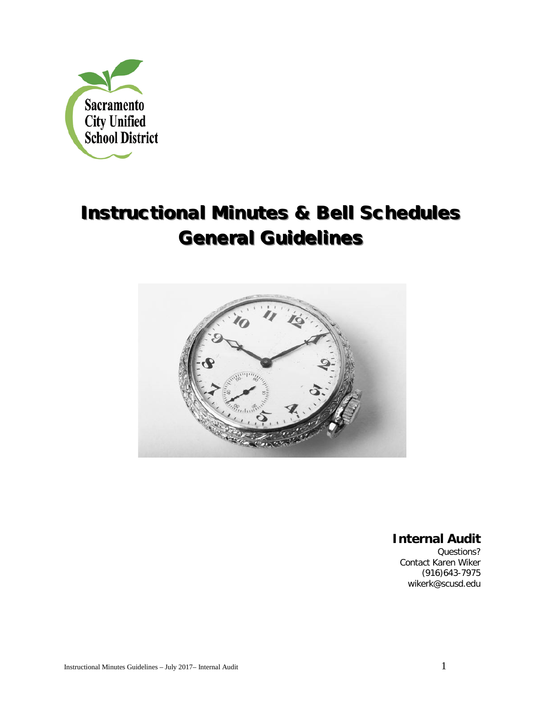

# **Instructional Minutes & Bell Schedules General Guidelines**



**Internal Audit** 

Questions? Contact Karen Wiker (916)643-7975 wikerk@scusd.edu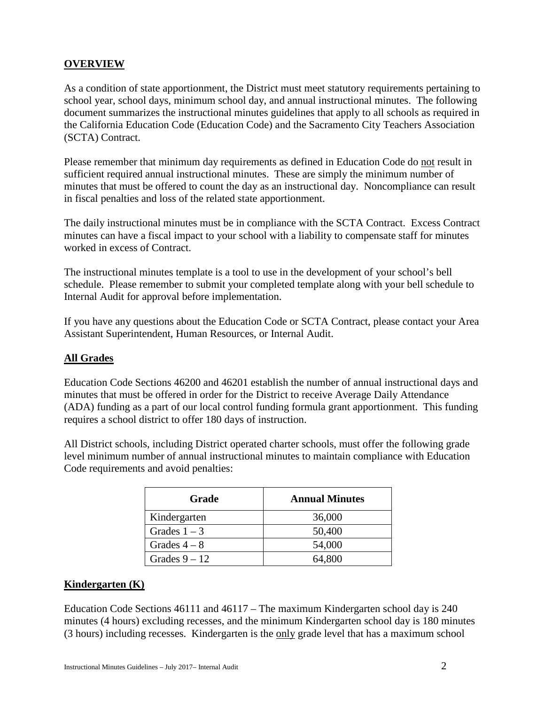# **OVERVIEW**

As a condition of state apportionment, the District must meet statutory requirements pertaining to school year, school days, minimum school day, and annual instructional minutes. The following document summarizes the instructional minutes guidelines that apply to all schools as required in the California Education Code (Education Code) and the Sacramento City Teachers Association (SCTA) Contract.

Please remember that minimum day requirements as defined in Education Code do not result in sufficient required annual instructional minutes. These are simply the minimum number of minutes that must be offered to count the day as an instructional day. Noncompliance can result in fiscal penalties and loss of the related state apportionment.

The daily instructional minutes must be in compliance with the SCTA Contract. Excess Contract minutes can have a fiscal impact to your school with a liability to compensate staff for minutes worked in excess of Contract.

The instructional minutes template is a tool to use in the development of your school's bell schedule. Please remember to submit your completed template along with your bell schedule to Internal Audit for approval before implementation.

If you have any questions about the Education Code or SCTA Contract, please contact your Area Assistant Superintendent, Human Resources, or Internal Audit.

# **All Grades**

Education Code Sections 46200 and 46201 establish the number of annual instructional days and minutes that must be offered in order for the District to receive Average Daily Attendance (ADA) funding as a part of our local control funding formula grant apportionment. This funding requires a school district to offer 180 days of instruction.

All District schools, including District operated charter schools, must offer the following grade level minimum number of annual instructional minutes to maintain compliance with Education Code requirements and avoid penalties:

| Grade           | <b>Annual Minutes</b> |
|-----------------|-----------------------|
| Kindergarten    | 36,000                |
| Grades $1-3$    | 50,400                |
| Grades $4-8$    | 54,000                |
| Grades $9 - 12$ | 64,800                |

# **Kindergarten (K)**

Education Code Sections 46111 and 46117 – The maximum Kindergarten school day is 240 minutes (4 hours) excluding recesses, and the minimum Kindergarten school day is 180 minutes (3 hours) including recesses. Kindergarten is the only grade level that has a maximum school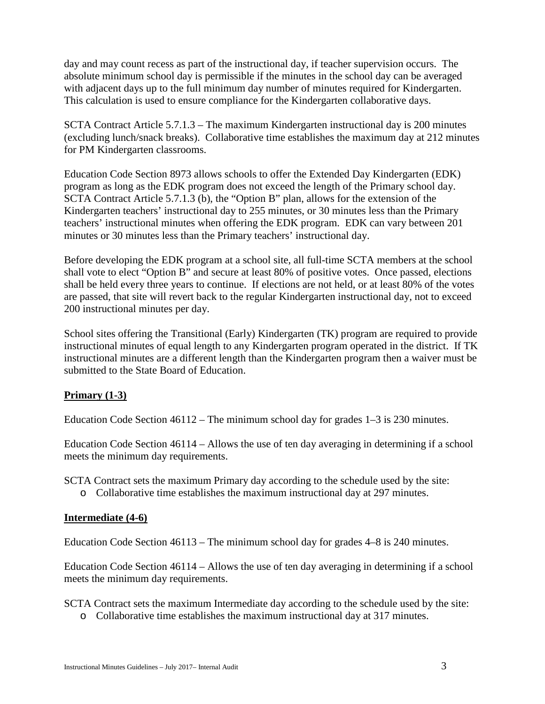day and may count recess as part of the instructional day, if teacher supervision occurs. The absolute minimum school day is permissible if the minutes in the school day can be averaged with adjacent days up to the full minimum day number of minutes required for Kindergarten. This calculation is used to ensure compliance for the Kindergarten collaborative days.

SCTA Contract Article 5.7.1.3 – The maximum Kindergarten instructional day is 200 minutes (excluding lunch/snack breaks). Collaborative time establishes the maximum day at 212 minutes for PM Kindergarten classrooms.

Education Code Section 8973 allows schools to offer the Extended Day Kindergarten (EDK) program as long as the EDK program does not exceed the length of the Primary school day. SCTA Contract Article 5.7.1.3 (b), the "Option B" plan, allows for the extension of the Kindergarten teachers' instructional day to 255 minutes, or 30 minutes less than the Primary teachers' instructional minutes when offering the EDK program. EDK can vary between 201 minutes or 30 minutes less than the Primary teachers' instructional day.

Before developing the EDK program at a school site, all full-time SCTA members at the school shall vote to elect "Option B" and secure at least 80% of positive votes. Once passed, elections shall be held every three years to continue. If elections are not held, or at least 80% of the votes are passed, that site will revert back to the regular Kindergarten instructional day, not to exceed 200 instructional minutes per day.

School sites offering the Transitional (Early) Kindergarten (TK) program are required to provide instructional minutes of equal length to any Kindergarten program operated in the district. If TK instructional minutes are a different length than the Kindergarten program then a waiver must be submitted to the State Board of Education.

# **Primary (1-3)**

Education Code Section 46112 – The minimum school day for grades 1–3 is 230 minutes.

Education Code Section 46114 – Allows the use of ten day averaging in determining if a school meets the minimum day requirements.

SCTA Contract sets the maximum Primary day according to the schedule used by the site:

o Collaborative time establishes the maximum instructional day at 297 minutes.

# **Intermediate (4-6)**

Education Code Section 46113 – The minimum school day for grades 4–8 is 240 minutes.

Education Code Section 46114 – Allows the use of ten day averaging in determining if a school meets the minimum day requirements.

SCTA Contract sets the maximum Intermediate day according to the schedule used by the site:

o Collaborative time establishes the maximum instructional day at 317 minutes.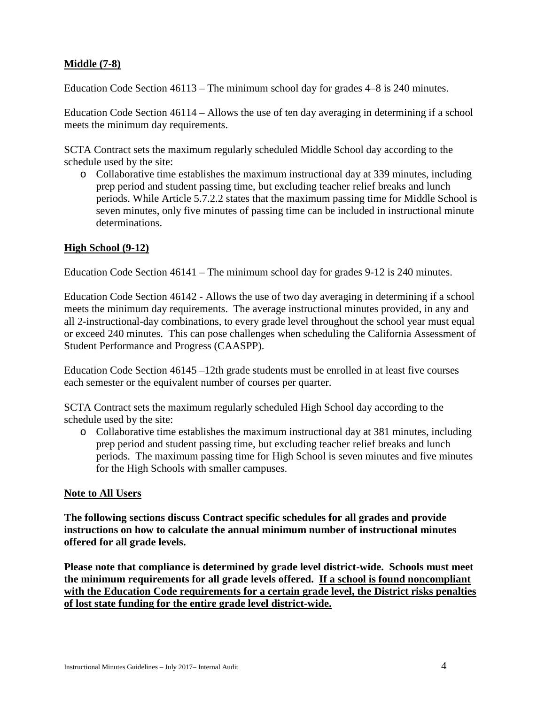# **Middle (7-8)**

Education Code Section 46113 – The minimum school day for grades 4–8 is 240 minutes.

Education Code Section 46114 – Allows the use of ten day averaging in determining if a school meets the minimum day requirements.

SCTA Contract sets the maximum regularly scheduled Middle School day according to the schedule used by the site:

o Collaborative time establishes the maximum instructional day at 339 minutes, including prep period and student passing time, but excluding teacher relief breaks and lunch periods. While Article 5.7.2.2 states that the maximum passing time for Middle School is seven minutes, only five minutes of passing time can be included in instructional minute determinations.

#### **High School (9-12)**

Education Code Section 46141 – The minimum school day for grades 9-12 is 240 minutes.

Education Code Section 46142 - Allows the use of two day averaging in determining if a school meets the minimum day requirements. The average instructional minutes provided, in any and all 2-instructional-day combinations, to every grade level throughout the school year must equal or exceed 240 minutes. This can pose challenges when scheduling the California Assessment of Student Performance and Progress (CAASPP).

Education Code Section 46145 –12th grade students must be enrolled in at least five courses each semester or the equivalent number of courses per quarter.

SCTA Contract sets the maximum regularly scheduled High School day according to the schedule used by the site:

o Collaborative time establishes the maximum instructional day at 381 minutes, including prep period and student passing time, but excluding teacher relief breaks and lunch periods. The maximum passing time for High School is seven minutes and five minutes for the High Schools with smaller campuses.

#### **Note to All Users**

**The following sections discuss Contract specific schedules for all grades and provide instructions on how to calculate the annual minimum number of instructional minutes offered for all grade levels.**

**Please note that compliance is determined by grade level district-wide. Schools must meet the minimum requirements for all grade levels offered. If a school is found noncompliant with the Education Code requirements for a certain grade level, the District risks penalties of lost state funding for the entire grade level district-wide.**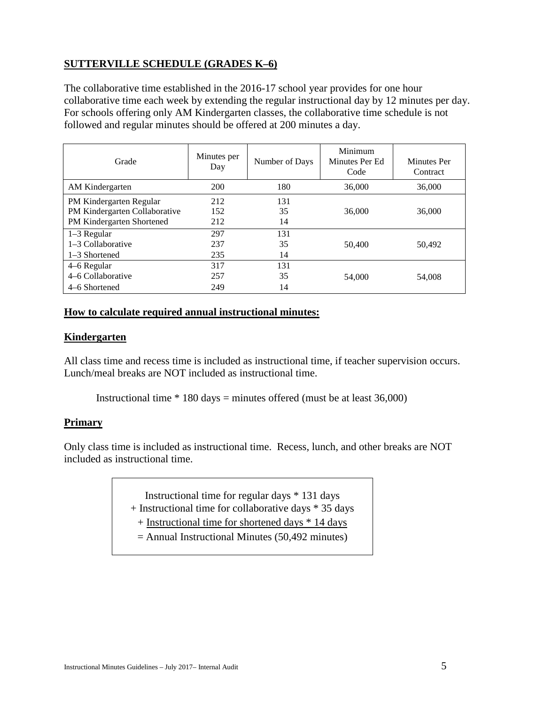# **SUTTERVILLE SCHEDULE (GRADES K–6)**

The collaborative time established in the 2016-17 school year provides for one hour collaborative time each week by extending the regular instructional day by 12 minutes per day. For schools offering only AM Kindergarten classes, the collaborative time schedule is not followed and regular minutes should be offered at 200 minutes a day.

| Grade                                                                                 | Minutes per<br>Day | Number of Days  | Minimum<br>Minutes Per Ed<br>Code | <b>Minutes</b> Per<br>Contract |  |
|---------------------------------------------------------------------------------------|--------------------|-----------------|-----------------------------------|--------------------------------|--|
| AM Kindergarten                                                                       | 200                | 180             | 36,000                            | 36,000                         |  |
| PM Kindergarten Regular<br>PM Kindergarten Collaborative<br>PM Kindergarten Shortened | 212<br>152<br>212  | 131<br>35<br>14 | 36,000                            | 36,000                         |  |
| $1-3$ Regular<br>1–3 Collaborative<br>$1-3$ Shortened                                 | 297<br>237<br>235  | 131<br>35<br>14 | 50,400                            | 50,492                         |  |
| 4–6 Regular<br>4-6 Collaborative<br>4–6 Shortened                                     | 317<br>257<br>249  | 131<br>35<br>14 | 54,000                            | 54,008                         |  |

#### **How to calculate required annual instructional minutes:**

#### **Kindergarten**

All class time and recess time is included as instructional time, if teacher supervision occurs. Lunch/meal breaks are NOT included as instructional time.

Instructional time  $*$  180 days = minutes offered (must be at least 36,000)

#### **Primary**

Only class time is included as instructional time. Recess, lunch, and other breaks are NOT included as instructional time.

> Instructional time for regular days \* 131 days + Instructional time for collaborative days \* 35 days

- + Instructional time for shortened days \* 14 days
- = Annual Instructional Minutes (50,492 minutes)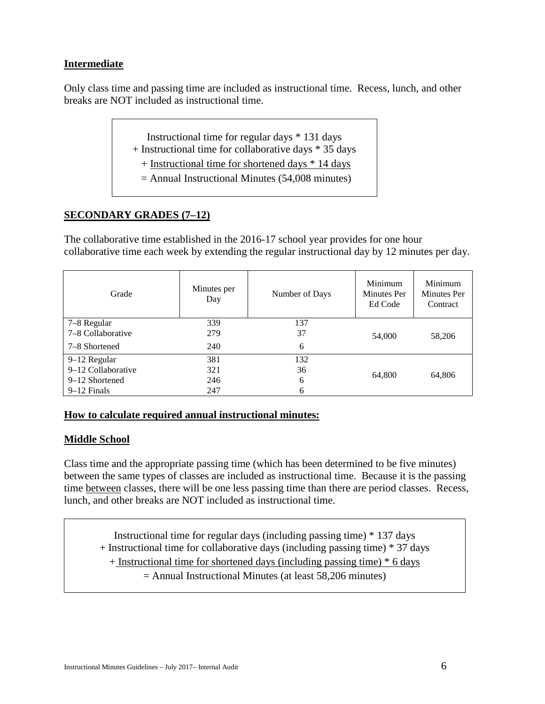# **Intermediate**

Only class time and passing time are included as instructional time. Recess, lunch, and other breaks are NOT included as instructional time.

| Instructional time for regular days * 131 days |  |  |
|------------------------------------------------|--|--|
|------------------------------------------------|--|--|

- + Instructional time for collaborative days \* 35 days
	- + Instructional time for shortened days \* 14 days
	- $=$  Annual Instructional Minutes (54,008 minutes)

# **SECONDARY GRADES (7–12)**

The collaborative time established in the 2016-17 school year provides for one hour collaborative time each week by extending the regular instructional day by 12 minutes per day.

| Grade              | Minutes per<br>Day | Number of Days | Minimum<br><b>Minutes Per</b><br>Ed Code | Minimum<br><b>Minutes Per</b><br>Contract |
|--------------------|--------------------|----------------|------------------------------------------|-------------------------------------------|
| 7–8 Regular        | 339                | 137            |                                          | 58,206                                    |
| 7-8 Collaborative  | 279                | 37             | 54,000                                   |                                           |
| 7–8 Shortened      | 240                | 6              |                                          |                                           |
| 9–12 Regular       | 381                | 132            |                                          | 64,806                                    |
| 9-12 Collaborative | 321                | 36             | 64,800                                   |                                           |
| 9–12 Shortened     | 246                | 6              |                                          |                                           |
| $9-12$ Finals      | 247                | 6              |                                          |                                           |

# **How to calculate required annual instructional minutes:**

# **Middle School**

Class time and the appropriate passing time (which has been determined to be five minutes) between the same types of classes are included as instructional time. Because it is the passing time between classes, there will be one less passing time than there are period classes. Recess, lunch, and other breaks are NOT included as instructional time.

Instructional time for regular days (including passing time) \* 137 days + Instructional time for collaborative days (including passing time) \* 37 days + Instructional time for shortened days (including passing time) \* 6 days = Annual Instructional Minutes (at least 58,206 minutes)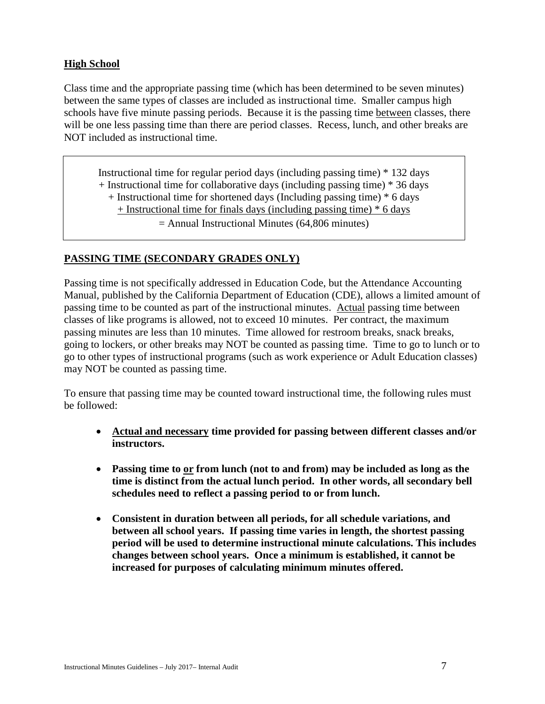# **High School**

Class time and the appropriate passing time (which has been determined to be seven minutes) between the same types of classes are included as instructional time. Smaller campus high schools have five minute passing periods. Because it is the passing time between classes, there will be one less passing time than there are period classes. Recess, lunch, and other breaks are NOT included as instructional time.

Instructional time for regular period days (including passing time) \* 132 days + Instructional time for collaborative days (including passing time) \* 36 days + Instructional time for shortened days (Including passing time) \* 6 days + Instructional time for finals days (including passing time) \* 6 days = Annual Instructional Minutes (64,806 minutes)

# **PASSING TIME (SECONDARY GRADES ONLY)**

Passing time is not specifically addressed in Education Code, but the Attendance Accounting Manual, published by the California Department of Education (CDE), allows a limited amount of passing time to be counted as part of the instructional minutes. Actual passing time between classes of like programs is allowed, not to exceed 10 minutes. Per contract, the maximum passing minutes are less than 10 minutes. Time allowed for restroom breaks, snack breaks, going to lockers, or other breaks may NOT be counted as passing time. Time to go to lunch or to go to other types of instructional programs (such as work experience or Adult Education classes) may NOT be counted as passing time.

To ensure that passing time may be counted toward instructional time, the following rules must be followed:

- **Actual and necessary time provided for passing between different classes and/or instructors.**
- **Passing time to or from lunch (not to and from) may be included as long as the time is distinct from the actual lunch period. In other words, all secondary bell schedules need to reflect a passing period to or from lunch.**
- **Consistent in duration between all periods, for all schedule variations, and between all school years. If passing time varies in length, the shortest passing period will be used to determine instructional minute calculations. This includes changes between school years. Once a minimum is established, it cannot be increased for purposes of calculating minimum minutes offered.**